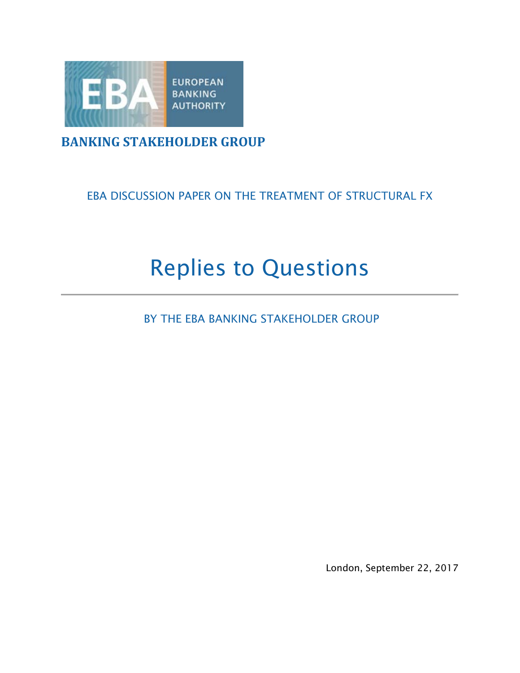

### **BANKING STAKEHOLDER GROUP**

#### EBA DISCUSSION PAPER ON THE TREATMENT OF STRUCTURAL FX

# Replies to Questions

BY THE EBA BANKING STAKEHOLDER GROUP

London, September 22, 2017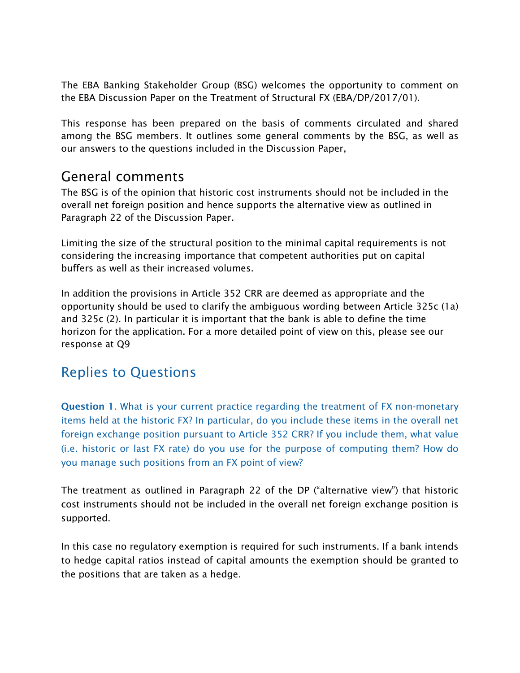The EBA Banking Stakeholder Group (BSG) welcomes the opportunity to comment on the EBA Discussion Paper on the Treatment of Structural FX (EBA/DP/2017/01).

This response has been prepared on the basis of comments circulated and shared among the BSG members. It outlines some general comments by the BSG, as well as our answers to the questions included in the Discussion Paper,

## General comments

The BSG is of the opinion that historic cost instruments should not be included in the overall net foreign position and hence supports the alternative view as outlined in Paragraph 22 of the Discussion Paper.

Limiting the size of the structural position to the minimal capital requirements is not considering the increasing importance that competent authorities put on capital buffers as well as their increased volumes.

In addition the provisions in Article 352 CRR are deemed as appropriate and the opportunity should be used to clarify the ambiguous wording between Article 325c (1a) and 325c (2). In particular it is important that the bank is able to define the time horizon for the application. For a more detailed point of view on this, please see our response at Q9

# Replies to Questions

Question 1. What is your current practice regarding the treatment of FX non-monetary items held at the historic FX? In particular, do you include these items in the overall net foreign exchange position pursuant to Article 352 CRR? If you include them, what value (i.e. historic or last FX rate) do you use for the purpose of computing them? How do you manage such positions from an FX point of view?

The treatment as outlined in Paragraph 22 of the DP ("alternative view") that historic cost instruments should not be included in the overall net foreign exchange position is supported.

In this case no regulatory exemption is required for such instruments. If a bank intends to hedge capital ratios instead of capital amounts the exemption should be granted to the positions that are taken as a hedge.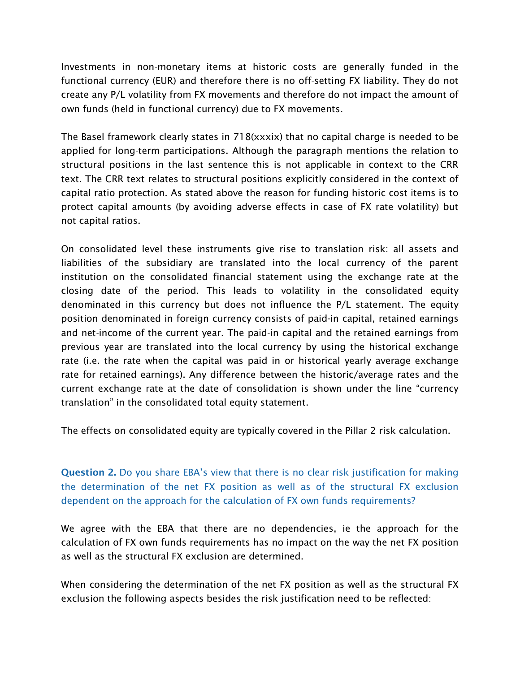Investments in non-monetary items at historic costs are generally funded in the functional currency (EUR) and therefore there is no off-setting FX liability. They do not create any P/L volatility from FX movements and therefore do not impact the amount of own funds (held in functional currency) due to FX movements.

The Basel framework clearly states in 718(xxxix) that no capital charge is needed to be applied for long-term participations. Although the paragraph mentions the relation to structural positions in the last sentence this is not applicable in context to the CRR text. The CRR text relates to structural positions explicitly considered in the context of capital ratio protection. As stated above the reason for funding historic cost items is to protect capital amounts (by avoiding adverse effects in case of FX rate volatility) but not capital ratios.

On consolidated level these instruments give rise to translation risk: all assets and liabilities of the subsidiary are translated into the local currency of the parent institution on the consolidated financial statement using the exchange rate at the closing date of the period. This leads to volatility in the consolidated equity denominated in this currency but does not influence the P/L statement. The equity position denominated in foreign currency consists of paid-in capital, retained earnings and net-income of the current year. The paid-in capital and the retained earnings from previous year are translated into the local currency by using the historical exchange rate (i.e. the rate when the capital was paid in or historical yearly average exchange rate for retained earnings). Any difference between the historic/average rates and the current exchange rate at the date of consolidation is shown under the line "currency translation" in the consolidated total equity statement.

The effects on consolidated equity are typically covered in the Pillar 2 risk calculation.

Question 2. Do you share EBA's view that there is no clear risk justification for making the determination of the net FX position as well as of the structural FX exclusion dependent on the approach for the calculation of FX own funds requirements?

We agree with the EBA that there are no dependencies, ie the approach for the calculation of FX own funds requirements has no impact on the way the net FX position as well as the structural FX exclusion are determined.

When considering the determination of the net FX position as well as the structural FX exclusion the following aspects besides the risk justification need to be reflected: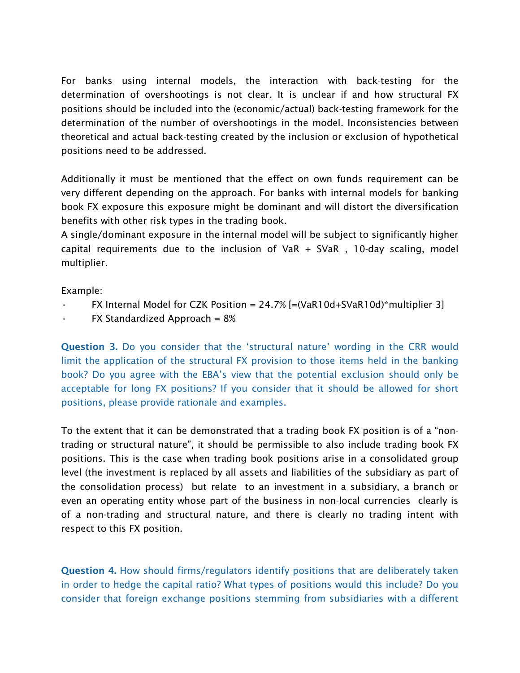For banks using internal models, the interaction with back-testing for the determination of overshootings is not clear. It is unclear if and how structural FX positions should be included into the (economic/actual) back-testing framework for the determination of the number of overshootings in the model. Inconsistencies between theoretical and actual back-testing created by the inclusion or exclusion of hypothetical positions need to be addressed.

Additionally it must be mentioned that the effect on own funds requirement can be very different depending on the approach. For banks with internal models for banking book FX exposure this exposure might be dominant and will distort the diversification benefits with other risk types in the trading book.

A single/dominant exposure in the internal model will be subject to significantly higher capital requirements due to the inclusion of  $VaR + SVaR$ , 10-day scaling, model multiplier.

Example:

- FX Internal Model for CZK Position =  $24.7\%$  [=(VaR10d+SVaR10d)\*multiplier 3]
- $FX$  Standardized Approach =  $8\%$

Question 3. Do you consider that the 'structural nature' wording in the CRR would limit the application of the structural FX provision to those items held in the banking book? Do you agree with the EBA's view that the potential exclusion should only be acceptable for long FX positions? If you consider that it should be allowed for short positions, please provide rationale and examples.

To the extent that it can be demonstrated that a trading book FX position is of a "nontrading or structural nature", it should be permissible to also include trading book FX positions. This is the case when trading book positions arise in a consolidated group level (the investment is replaced by all assets and liabilities of the subsidiary as part of the consolidation process) but relate to an investment in a subsidiary, a branch or even an operating entity whose part of the business in non-local currencies clearly is of a non-trading and structural nature, and there is clearly no trading intent with respect to this FX position.

Question 4. How should firms/regulators identify positions that are deliberately taken in order to hedge the capital ratio? What types of positions would this include? Do you consider that foreign exchange positions stemming from subsidiaries with a different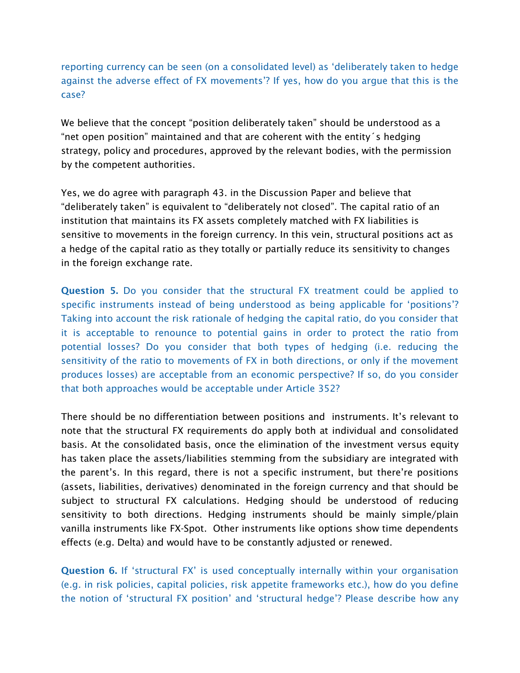#### reporting currency can be seen (on a consolidated level) as 'deliberately taken to hedge against the adverse effect of FX movements'? If yes, how do you argue that this is the case?

We believe that the concept "position deliberately taken" should be understood as a "net open position" maintained and that are coherent with the entity´s hedging strategy, policy and procedures, approved by the relevant bodies, with the permission by the competent authorities.

Yes, we do agree with paragraph 43. in the Discussion Paper and believe that "deliberately taken" is equivalent to "deliberately not closed". The capital ratio of an institution that maintains its FX assets completely matched with FX liabilities is sensitive to movements in the foreign currency. In this vein, structural positions act as a hedge of the capital ratio as they totally or partially reduce its sensitivity to changes in the foreign exchange rate.

Question 5. Do you consider that the structural FX treatment could be applied to specific instruments instead of being understood as being applicable for 'positions'? Taking into account the risk rationale of hedging the capital ratio, do you consider that it is acceptable to renounce to potential gains in order to protect the ratio from potential losses? Do you consider that both types of hedging (i.e. reducing the sensitivity of the ratio to movements of FX in both directions, or only if the movement produces losses) are acceptable from an economic perspective? If so, do you consider that both approaches would be acceptable under Article 352?

There should be no differentiation between positions and instruments. It's relevant to note that the structural FX requirements do apply both at individual and consolidated basis. At the consolidated basis, once the elimination of the investment versus equity has taken place the assets/liabilities stemming from the subsidiary are integrated with the parent's. In this regard, there is not a specific instrument, but there're positions (assets, liabilities, derivatives) denominated in the foreign currency and that should be subject to structural FX calculations. Hedging should be understood of reducing sensitivity to both directions. Hedging instruments should be mainly simple/plain vanilla instruments like FX-Spot. Other instruments like options show time dependents effects (e.g. Delta) and would have to be constantly adjusted or renewed.

Question 6. If 'structural FX' is used conceptually internally within your organisation (e.g. in risk policies, capital policies, risk appetite frameworks etc.), how do you define the notion of 'structural FX position' and 'structural hedge'? Please describe how any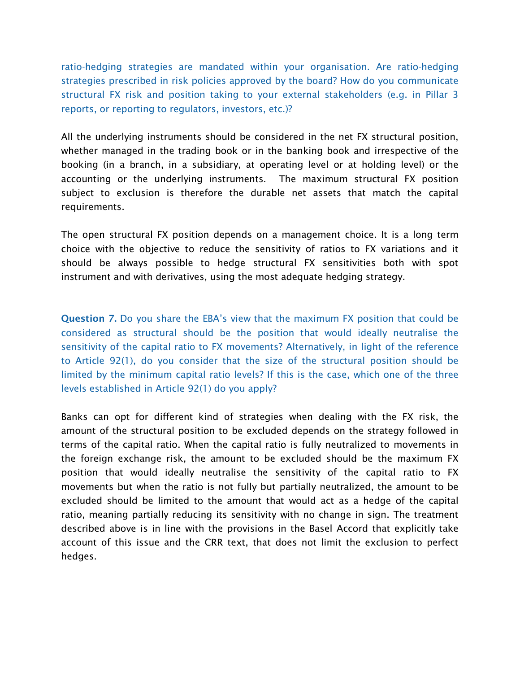ratio-hedging strategies are mandated within your organisation. Are ratio-hedging strategies prescribed in risk policies approved by the board? How do you communicate structural FX risk and position taking to your external stakeholders (e.g. in Pillar 3 reports, or reporting to regulators, investors, etc.)?

All the underlying instruments should be considered in the net FX structural position, whether managed in the trading book or in the banking book and irrespective of the booking (in a branch, in a subsidiary, at operating level or at holding level) or the accounting or the underlying instruments. The maximum structural FX position subject to exclusion is therefore the durable net assets that match the capital requirements.

The open structural FX position depends on a management choice. It is a long term choice with the objective to reduce the sensitivity of ratios to FX variations and it should be always possible to hedge structural FX sensitivities both with spot instrument and with derivatives, using the most adequate hedging strategy.

Question 7. Do you share the EBA's view that the maximum FX position that could be considered as structural should be the position that would ideally neutralise the sensitivity of the capital ratio to FX movements? Alternatively, in light of the reference to Article 92(1), do you consider that the size of the structural position should be limited by the minimum capital ratio levels? If this is the case, which one of the three levels established in Article 92(1) do you apply?

Banks can opt for different kind of strategies when dealing with the FX risk, the amount of the structural position to be excluded depends on the strategy followed in terms of the capital ratio. When the capital ratio is fully neutralized to movements in the foreign exchange risk, the amount to be excluded should be the maximum FX position that would ideally neutralise the sensitivity of the capital ratio to FX movements but when the ratio is not fully but partially neutralized, the amount to be excluded should be limited to the amount that would act as a hedge of the capital ratio, meaning partially reducing its sensitivity with no change in sign. The treatment described above is in line with the provisions in the Basel Accord that explicitly take account of this issue and the CRR text, that does not limit the exclusion to perfect hedges.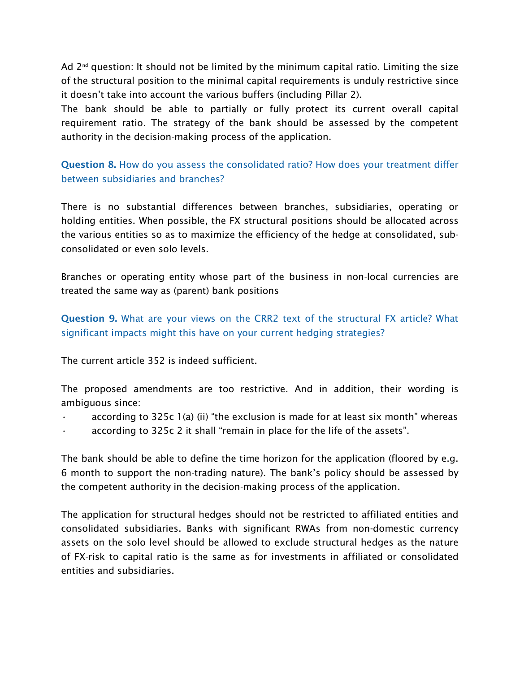Ad  $2^{nd}$  question: It should not be limited by the minimum capital ratio. Limiting the size of the structural position to the minimal capital requirements is unduly restrictive since it doesn't take into account the various buffers (including Pillar 2).

The bank should be able to partially or fully protect its current overall capital requirement ratio. The strategy of the bank should be assessed by the competent authority in the decision-making process of the application.

Question 8. How do you assess the consolidated ratio? How does your treatment differ between subsidiaries and branches?

There is no substantial differences between branches, subsidiaries, operating or holding entities. When possible, the FX structural positions should be allocated across the various entities so as to maximize the efficiency of the hedge at consolidated, subconsolidated or even solo levels.

Branches or operating entity whose part of the business in non-local currencies are treated the same way as (parent) bank positions

Question 9. What are your views on the CRR2 text of the structural FX article? What significant impacts might this have on your current hedging strategies?

The current article 352 is indeed sufficient.

The proposed amendments are too restrictive. And in addition, their wording is ambiguous since:

- according to 325c 1(a) (ii) "the exclusion is made for at least six month" whereas
- according to 325c 2 it shall "remain in place for the life of the assets".

The bank should be able to define the time horizon for the application (floored by e.g. 6 month to support the non-trading nature). The bank's policy should be assessed by the competent authority in the decision-making process of the application.

The application for structural hedges should not be restricted to affiliated entities and consolidated subsidiaries. Banks with significant RWAs from non-domestic currency assets on the solo level should be allowed to exclude structural hedges as the nature of FX-risk to capital ratio is the same as for investments in affiliated or consolidated entities and subsidiaries.